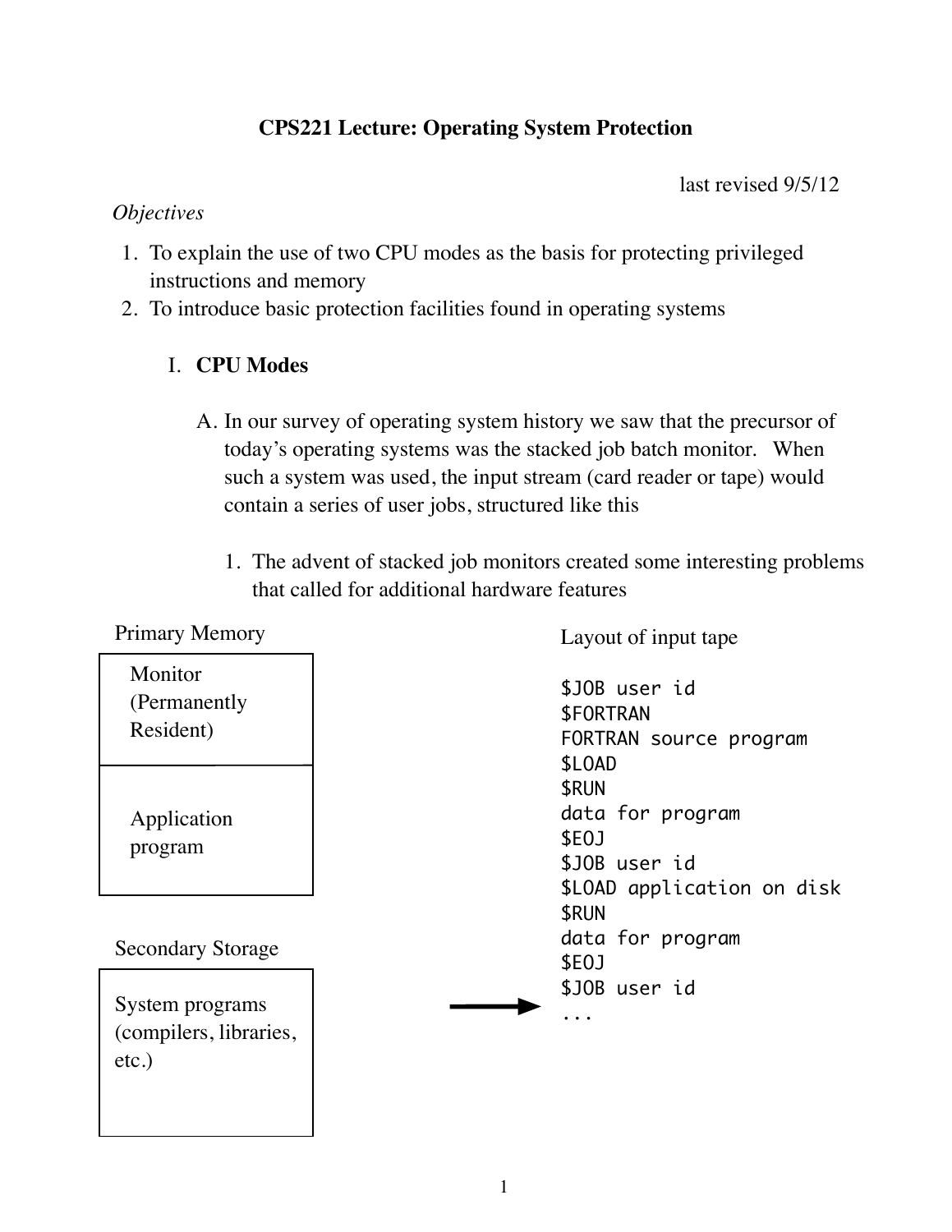## **CPS221 Lecture: Operating System Protection**

last revised 9/5/12

## *Objectives*

- 1. To explain the use of two CPU modes as the basis for protecting privileged instructions and memory
- 2. To introduce basic protection facilities found in operating systems

## I. **CPU Modes**

- A. In our survey of operating system history we saw that the precursor of today's operating systems was the stacked job batch monitor. When such a system was used, the input stream (card reader or tape) would contain a series of user jobs, structured like this
	- 1. The advent of stacked job monitors created some interesting problems that called for additional hardware features

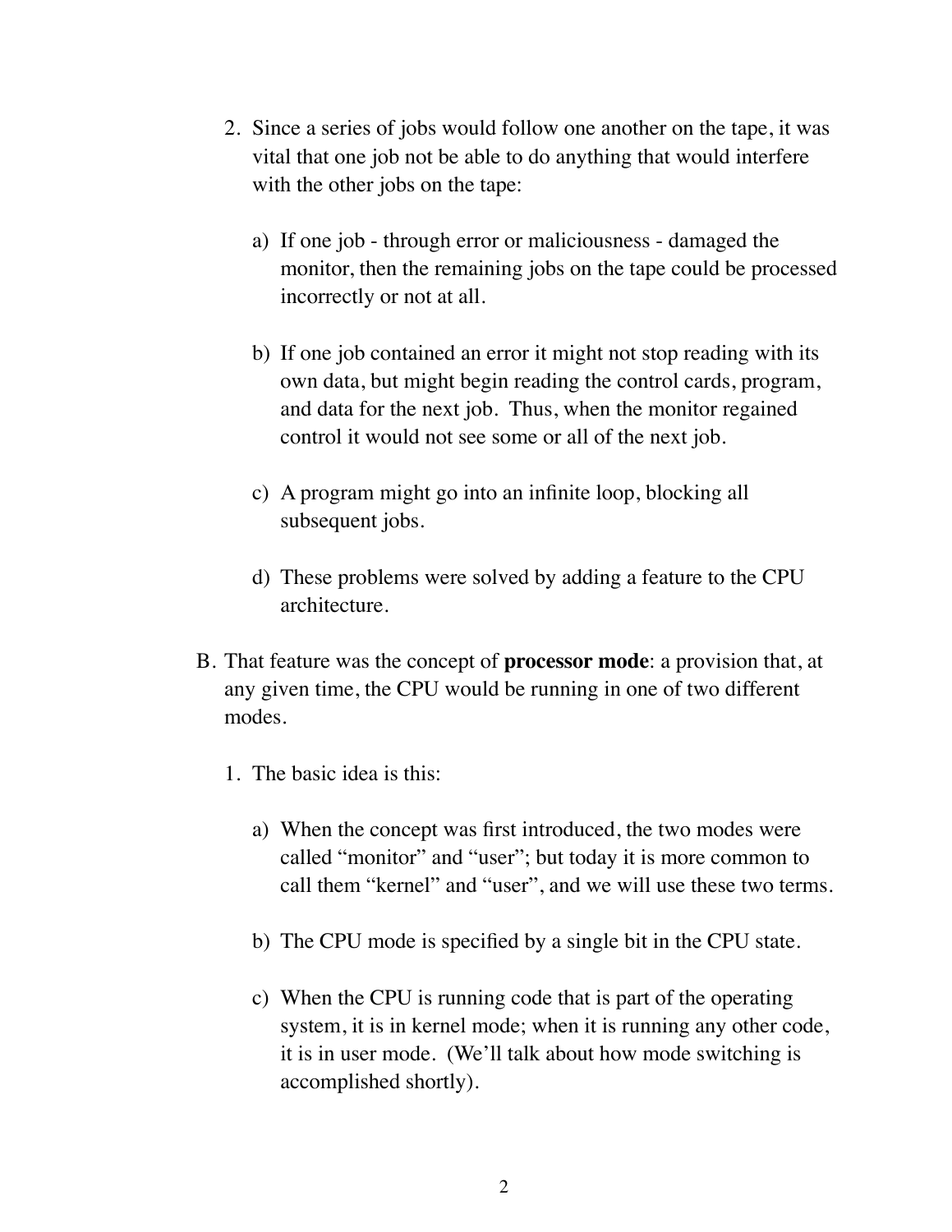- 2. Since a series of jobs would follow one another on the tape, it was vital that one job not be able to do anything that would interfere with the other jobs on the tape:
	- a) If one job through error or maliciousness damaged the monitor, then the remaining jobs on the tape could be processed incorrectly or not at all.
	- b) If one job contained an error it might not stop reading with its own data, but might begin reading the control cards, program, and data for the next job. Thus, when the monitor regained control it would not see some or all of the next job.
	- c) A program might go into an infinite loop, blocking all subsequent jobs.
	- d) These problems were solved by adding a feature to the CPU architecture.
- B. That feature was the concept of **processor mode**: a provision that, at any given time, the CPU would be running in one of two different modes.
	- 1. The basic idea is this:
		- a) When the concept was first introduced, the two modes were called "monitor" and "user"; but today it is more common to call them "kernel" and "user", and we will use these two terms.
		- b) The CPU mode is specified by a single bit in the CPU state.
		- c) When the CPU is running code that is part of the operating system, it is in kernel mode; when it is running any other code, it is in user mode. (We'll talk about how mode switching is accomplished shortly).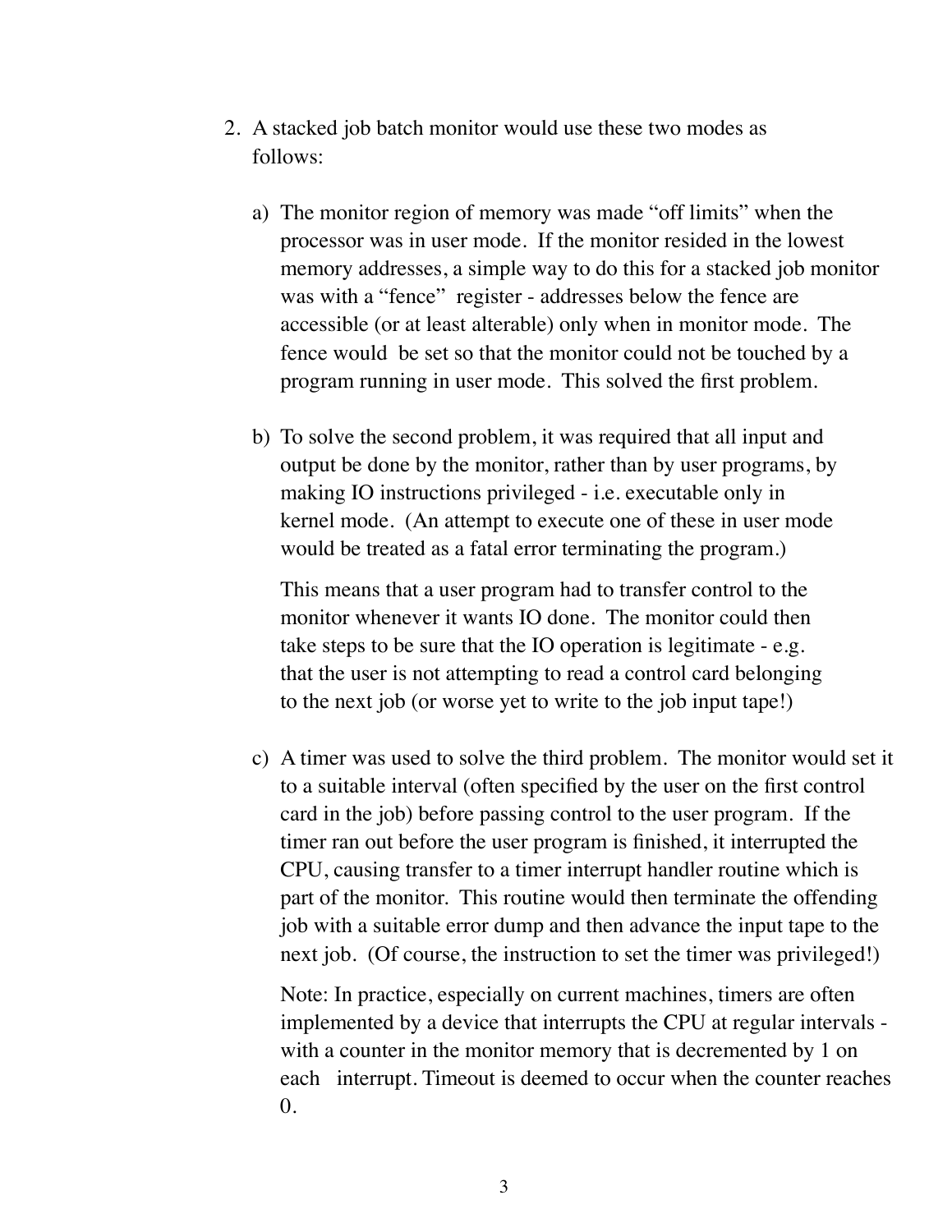- 2. A stacked job batch monitor would use these two modes as follows:
	- a) The monitor region of memory was made "off limits" when the processor was in user mode. If the monitor resided in the lowest memory addresses, a simple way to do this for a stacked job monitor was with a "fence" register - addresses below the fence are accessible (or at least alterable) only when in monitor mode. The fence would be set so that the monitor could not be touched by a program running in user mode. This solved the first problem.
	- b) To solve the second problem, it was required that all input and output be done by the monitor, rather than by user programs, by making IO instructions privileged - i.e. executable only in kernel mode. (An attempt to execute one of these in user mode would be treated as a fatal error terminating the program.)

This means that a user program had to transfer control to the monitor whenever it wants IO done. The monitor could then take steps to be sure that the IO operation is legitimate - e.g. that the user is not attempting to read a control card belonging to the next job (or worse yet to write to the job input tape!)

c) A timer was used to solve the third problem. The monitor would set it to a suitable interval (often specified by the user on the first control card in the job) before passing control to the user program. If the timer ran out before the user program is finished, it interrupted the CPU, causing transfer to a timer interrupt handler routine which is part of the monitor. This routine would then terminate the offending job with a suitable error dump and then advance the input tape to the next job. (Of course, the instruction to set the timer was privileged!)

Note: In practice, especially on current machines, timers are often implemented by a device that interrupts the CPU at regular intervals with a counter in the monitor memory that is decremented by 1 on each interrupt. Timeout is deemed to occur when the counter reaches  $\theta$ .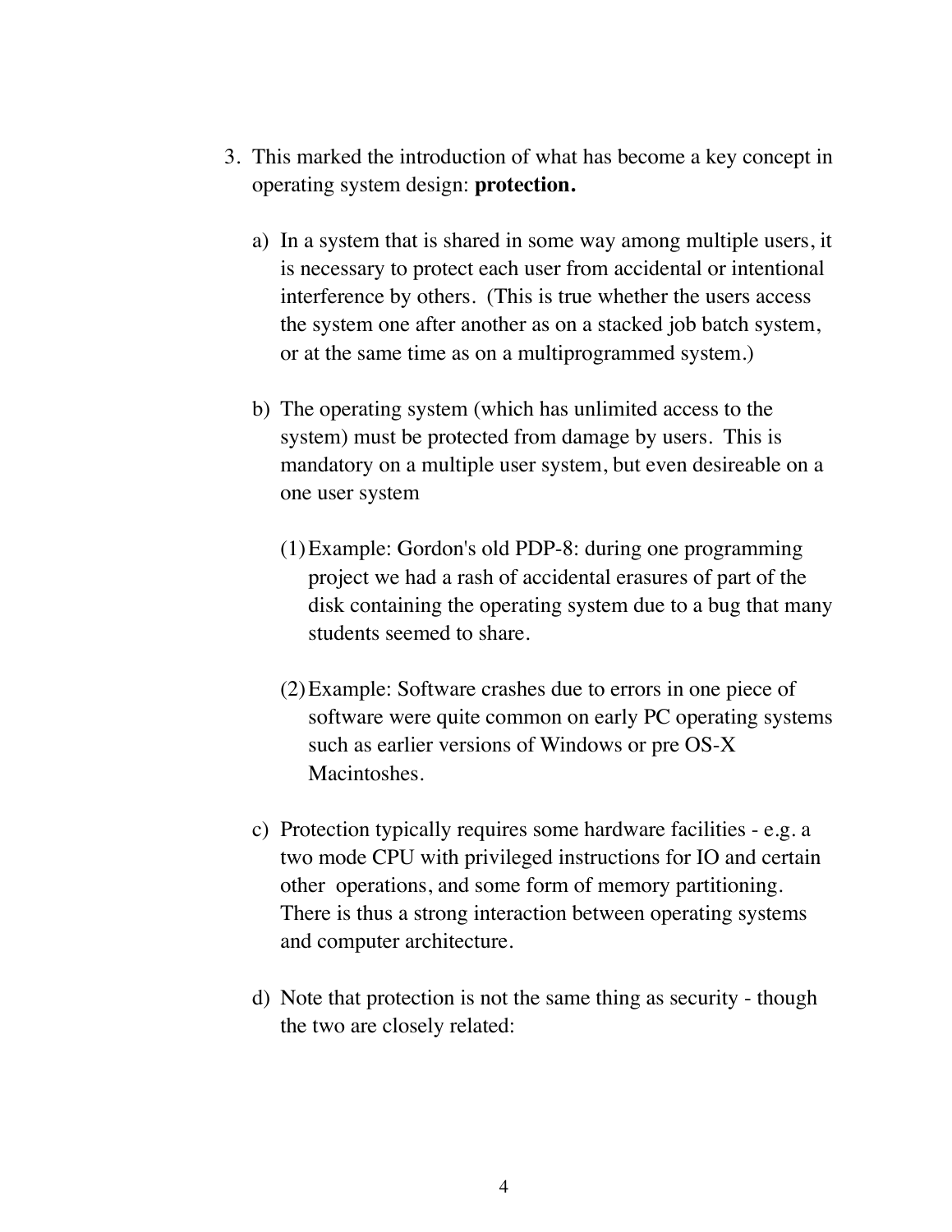- 3. This marked the introduction of what has become a key concept in operating system design: **protection.**
	- a) In a system that is shared in some way among multiple users, it is necessary to protect each user from accidental or intentional interference by others. (This is true whether the users access the system one after another as on a stacked job batch system, or at the same time as on a multiprogrammed system.)
	- b) The operating system (which has unlimited access to the system) must be protected from damage by users. This is mandatory on a multiple user system, but even desireable on a one user system
		- (1)Example: Gordon's old PDP-8: during one programming project we had a rash of accidental erasures of part of the disk containing the operating system due to a bug that many students seemed to share.
		- (2)Example: Software crashes due to errors in one piece of software were quite common on early PC operating systems such as earlier versions of Windows or pre OS-X Macintoshes.
	- c) Protection typically requires some hardware facilities e.g. a two mode CPU with privileged instructions for IO and certain other operations, and some form of memory partitioning. There is thus a strong interaction between operating systems and computer architecture.
	- d) Note that protection is not the same thing as security though the two are closely related: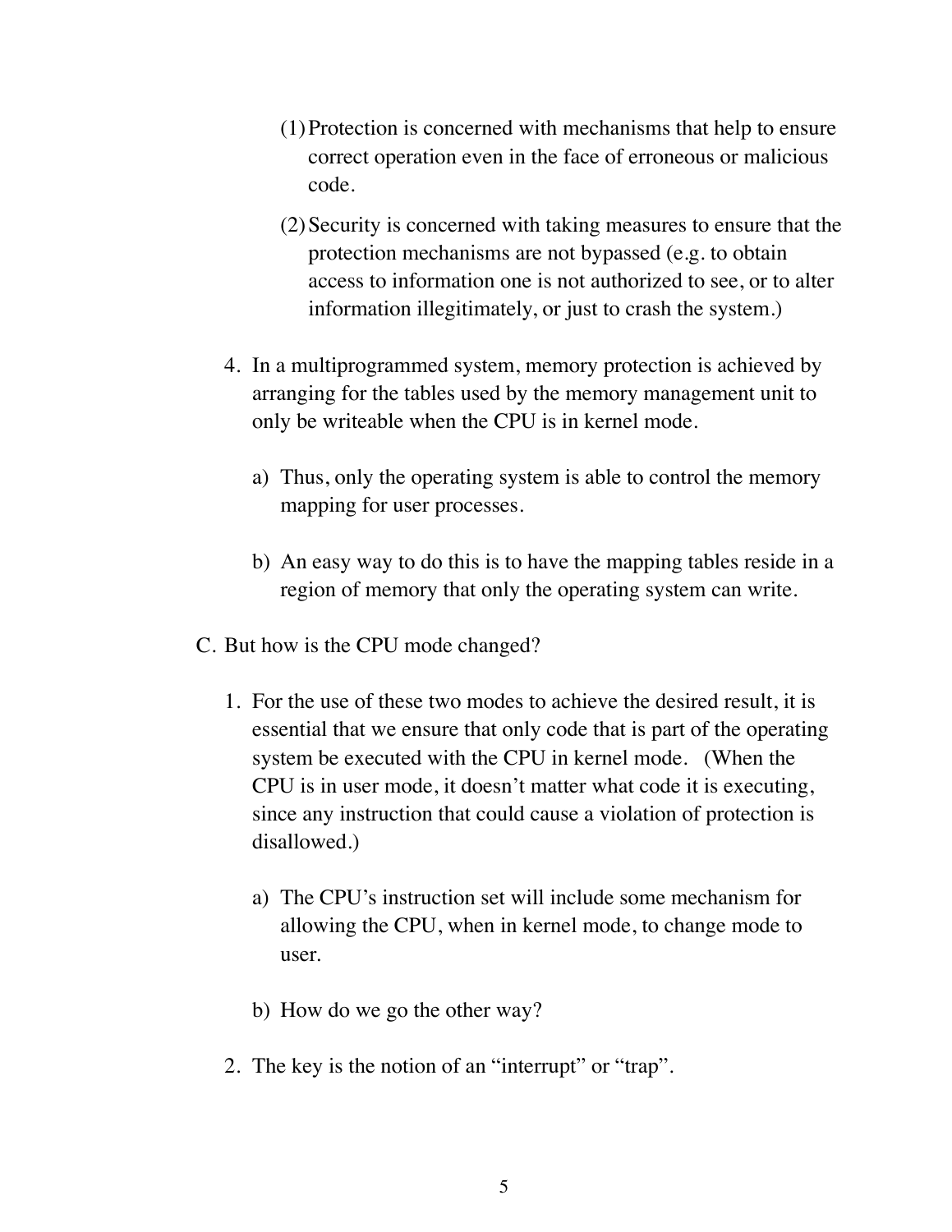- (1)Protection is concerned with mechanisms that help to ensure correct operation even in the face of erroneous or malicious code.
- (2)Security is concerned with taking measures to ensure that the protection mechanisms are not bypassed (e.g. to obtain access to information one is not authorized to see, or to alter information illegitimately, or just to crash the system.)
- 4. In a multiprogrammed system, memory protection is achieved by arranging for the tables used by the memory management unit to only be writeable when the CPU is in kernel mode.
	- a) Thus, only the operating system is able to control the memory mapping for user processes.
	- b) An easy way to do this is to have the mapping tables reside in a region of memory that only the operating system can write.
- C. But how is the CPU mode changed?
	- 1. For the use of these two modes to achieve the desired result, it is essential that we ensure that only code that is part of the operating system be executed with the CPU in kernel mode. (When the CPU is in user mode, it doesn't matter what code it is executing, since any instruction that could cause a violation of protection is disallowed.)
		- a) The CPU's instruction set will include some mechanism for allowing the CPU, when in kernel mode, to change mode to user.
		- b) How do we go the other way?
	- 2. The key is the notion of an "interrupt" or "trap".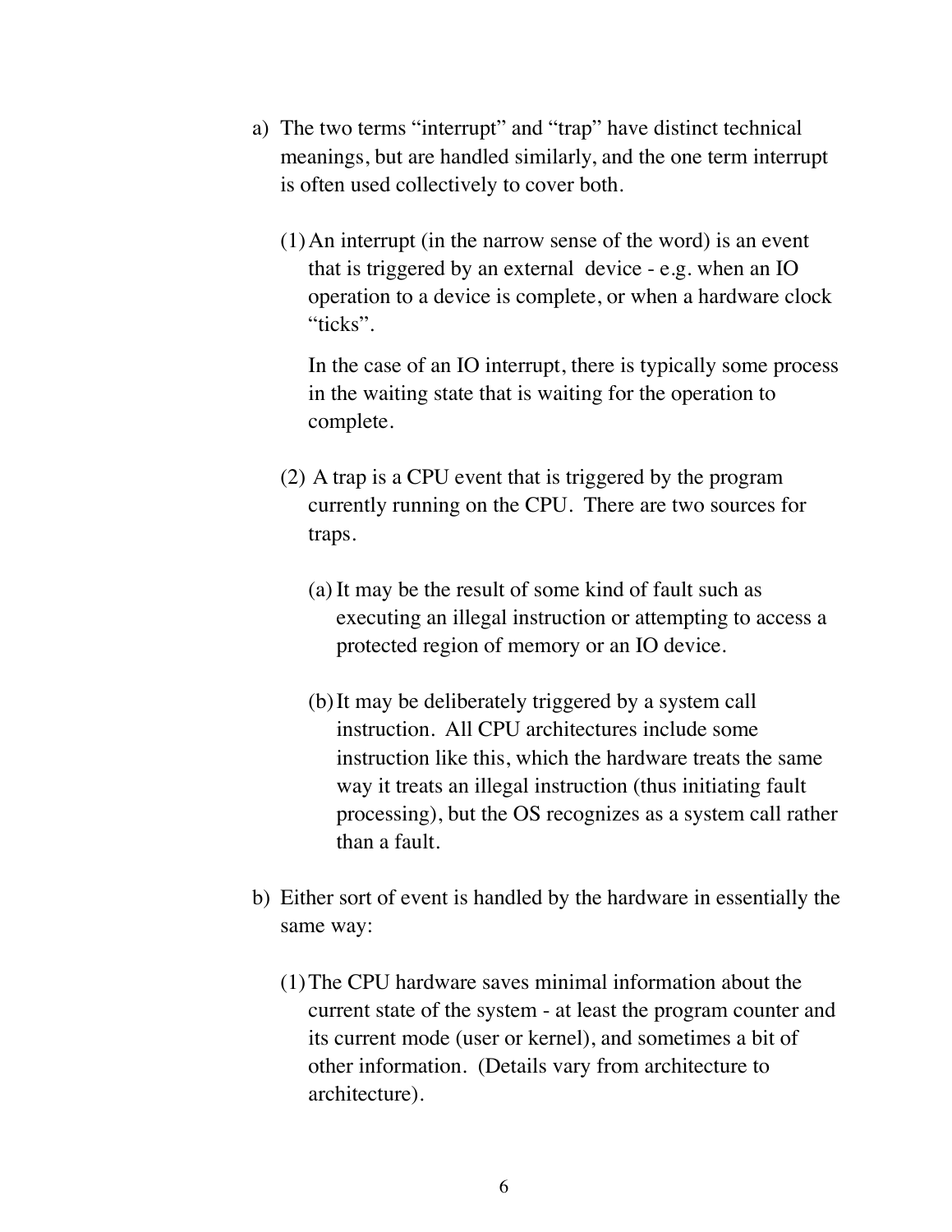- a) The two terms "interrupt" and "trap" have distinct technical meanings, but are handled similarly, and the one term interrupt is often used collectively to cover both.
	- (1)An interrupt (in the narrow sense of the word) is an event that is triggered by an external device - e.g. when an IO operation to a device is complete, or when a hardware clock "ticks".

In the case of an IO interrupt, there is typically some process in the waiting state that is waiting for the operation to complete.

- (2) A trap is a CPU event that is triggered by the program currently running on the CPU. There are two sources for traps.
	- (a) It may be the result of some kind of fault such as executing an illegal instruction or attempting to access a protected region of memory or an IO device.
	- (b)It may be deliberately triggered by a system call instruction. All CPU architectures include some instruction like this, which the hardware treats the same way it treats an illegal instruction (thus initiating fault processing), but the OS recognizes as a system call rather than a fault.
- b) Either sort of event is handled by the hardware in essentially the same way:
	- (1)The CPU hardware saves minimal information about the current state of the system - at least the program counter and its current mode (user or kernel), and sometimes a bit of other information. (Details vary from architecture to architecture).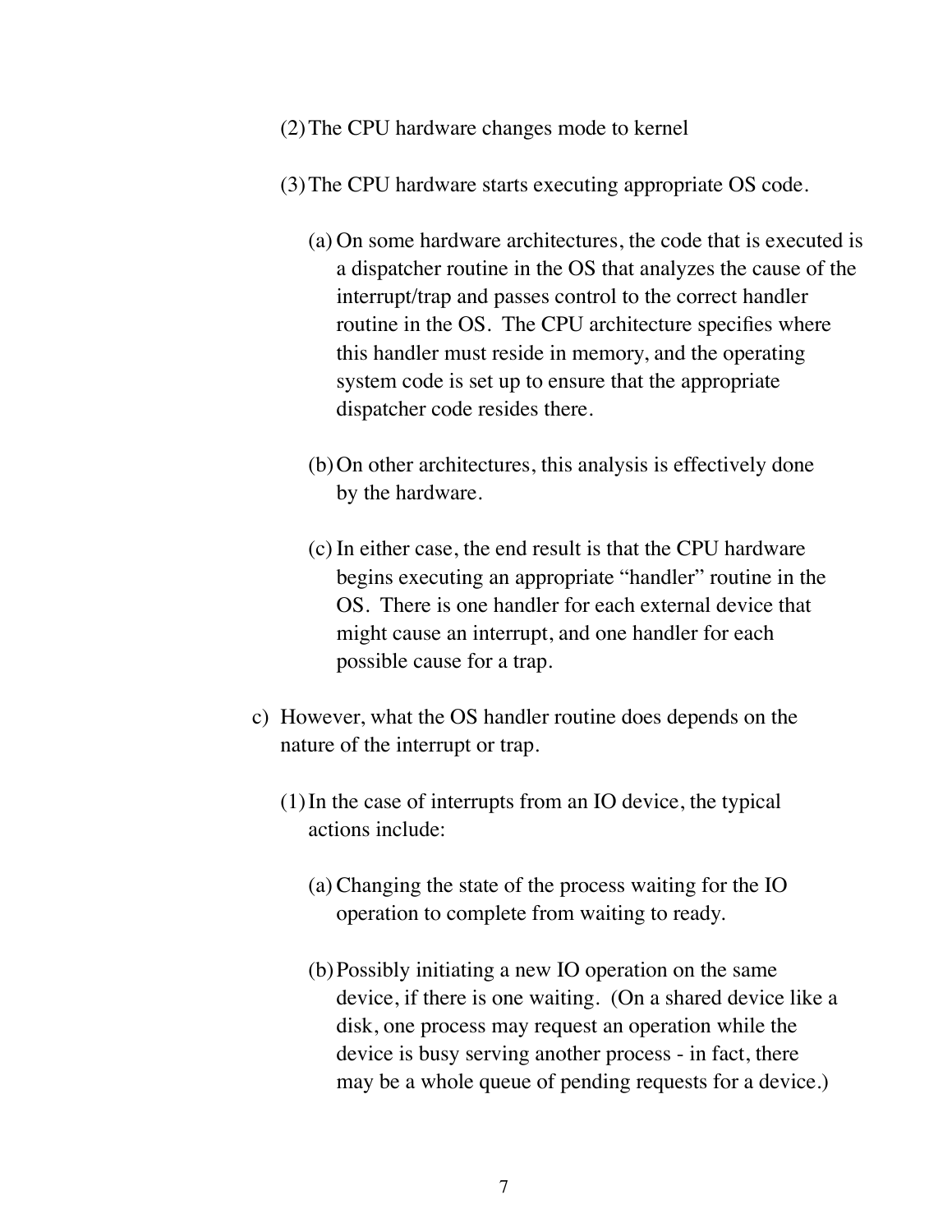- (2)The CPU hardware changes mode to kernel
- (3)The CPU hardware starts executing appropriate OS code.
	- (a) On some hardware architectures, the code that is executed is a dispatcher routine in the OS that analyzes the cause of the interrupt/trap and passes control to the correct handler routine in the OS. The CPU architecture specifies where this handler must reside in memory, and the operating system code is set up to ensure that the appropriate dispatcher code resides there.
	- (b)On other architectures, this analysis is effectively done by the hardware.
	- (c) In either case, the end result is that the CPU hardware begins executing an appropriate "handler" routine in the OS. There is one handler for each external device that might cause an interrupt, and one handler for each possible cause for a trap.
- c) However, what the OS handler routine does depends on the nature of the interrupt or trap.
	- (1)In the case of interrupts from an IO device, the typical actions include:
		- (a) Changing the state of the process waiting for the IO operation to complete from waiting to ready.
		- (b)Possibly initiating a new IO operation on the same device, if there is one waiting. (On a shared device like a disk, one process may request an operation while the device is busy serving another process - in fact, there may be a whole queue of pending requests for a device.)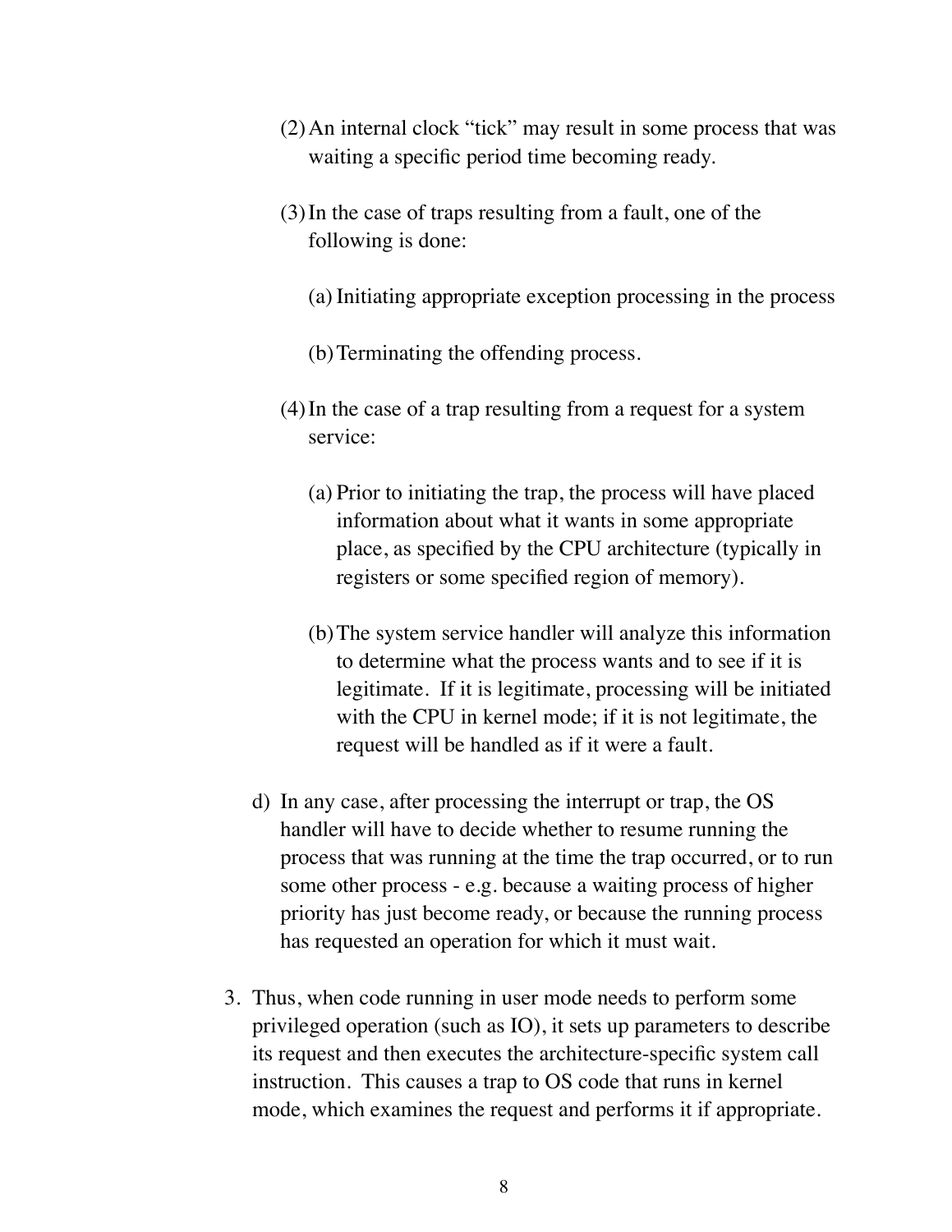- (2)An internal clock "tick" may result in some process that was waiting a specific period time becoming ready.
- (3)In the case of traps resulting from a fault, one of the following is done:
	- (a) Initiating appropriate exception processing in the process
	- (b)Terminating the offending process.
- (4)In the case of a trap resulting from a request for a system service:
	- (a) Prior to initiating the trap, the process will have placed information about what it wants in some appropriate place, as specified by the CPU architecture (typically in registers or some specified region of memory).
	- (b)The system service handler will analyze this information to determine what the process wants and to see if it is legitimate. If it is legitimate, processing will be initiated with the CPU in kernel mode; if it is not legitimate, the request will be handled as if it were a fault.
- d) In any case, after processing the interrupt or trap, the OS handler will have to decide whether to resume running the process that was running at the time the trap occurred, or to run some other process - e.g. because a waiting process of higher priority has just become ready, or because the running process has requested an operation for which it must wait.
- 3. Thus, when code running in user mode needs to perform some privileged operation (such as IO), it sets up parameters to describe its request and then executes the architecture-specific system call instruction. This causes a trap to OS code that runs in kernel mode, which examines the request and performs it if appropriate.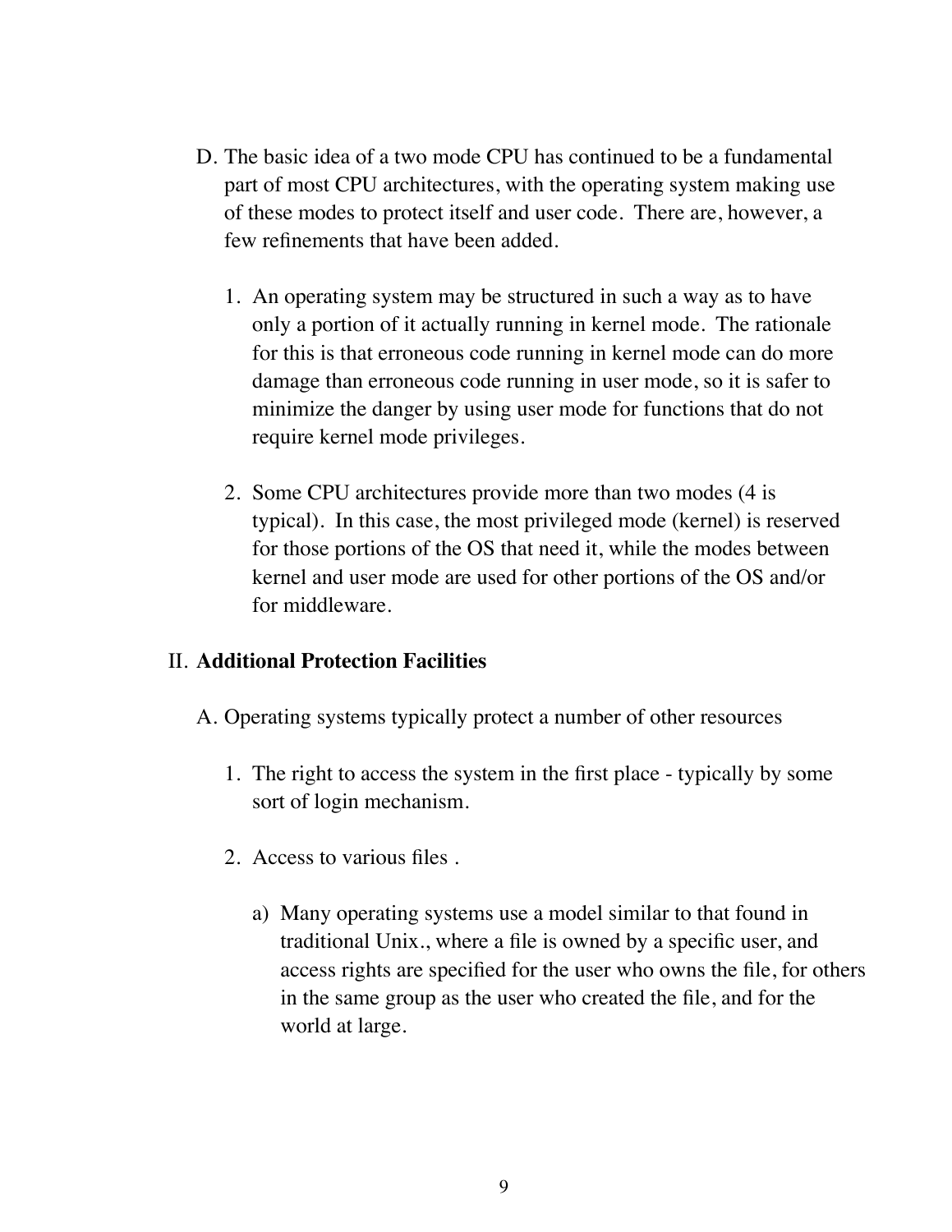- D. The basic idea of a two mode CPU has continued to be a fundamental part of most CPU architectures, with the operating system making use of these modes to protect itself and user code. There are, however, a few refinements that have been added.
	- 1. An operating system may be structured in such a way as to have only a portion of it actually running in kernel mode. The rationale for this is that erroneous code running in kernel mode can do more damage than erroneous code running in user mode, so it is safer to minimize the danger by using user mode for functions that do not require kernel mode privileges.
	- 2. Some CPU architectures provide more than two modes (4 is typical). In this case, the most privileged mode (kernel) is reserved for those portions of the OS that need it, while the modes between kernel and user mode are used for other portions of the OS and/or for middleware.

## II. **Additional Protection Facilities**

- A. Operating systems typically protect a number of other resources
	- 1. The right to access the system in the first place typically by some sort of login mechanism.
	- 2. Access to various files .
		- a) Many operating systems use a model similar to that found in traditional Unix., where a file is owned by a specific user, and access rights are specified for the user who owns the file, for others in the same group as the user who created the file, and for the world at large.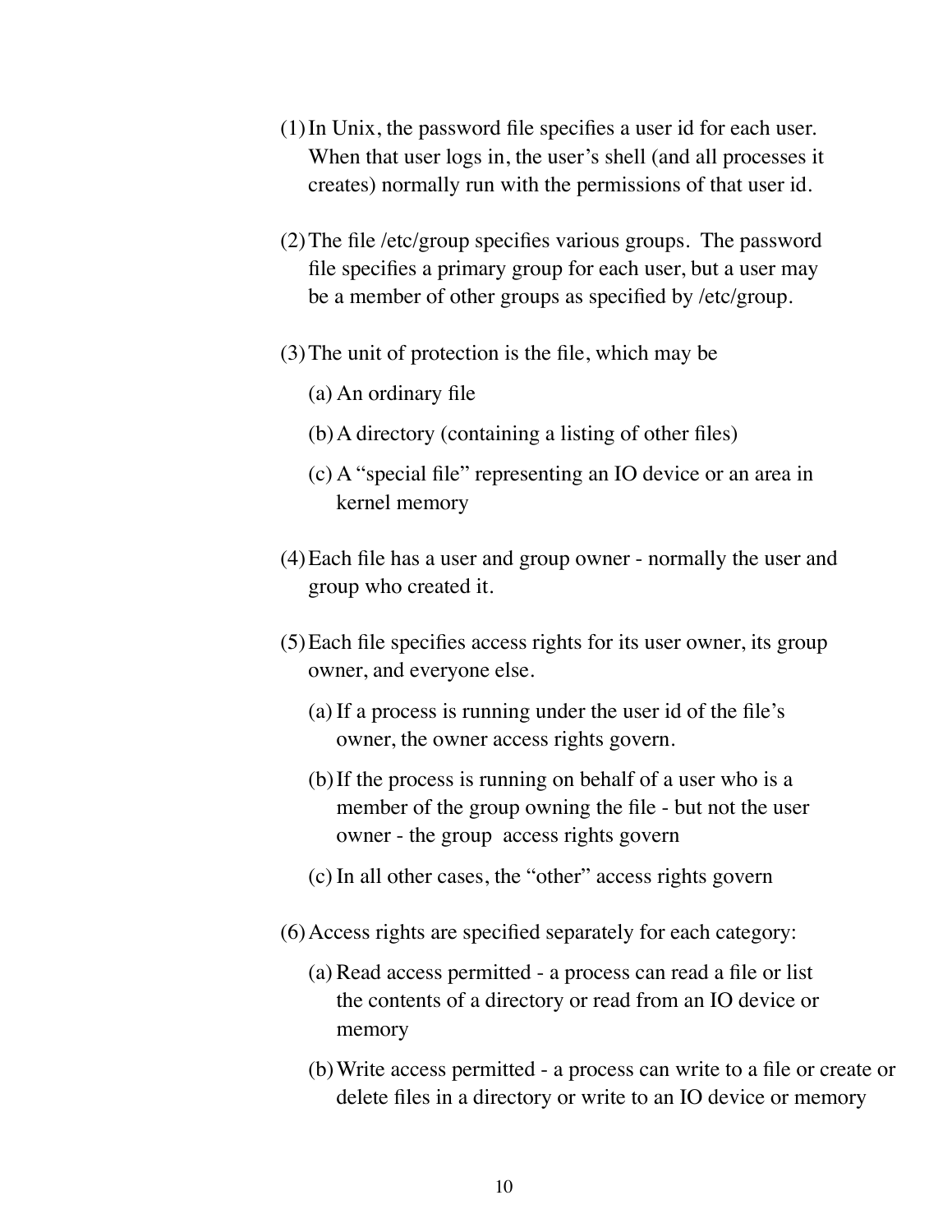- (1)In Unix, the password file specifies a user id for each user. When that user logs in, the user's shell (and all processes it creates) normally run with the permissions of that user id.
- (2)The file /etc/group specifies various groups. The password file specifies a primary group for each user, but a user may be a member of other groups as specified by /etc/group.
- (3)The unit of protection is the file, which may be
	- (a) An ordinary file
	- (b)A directory (containing a listing of other files)
	- (c) A "special file" representing an IO device or an area in kernel memory
- (4)Each file has a user and group owner normally the user and group who created it.
- (5)Each file specifies access rights for its user owner, its group owner, and everyone else.
	- (a) If a process is running under the user id of the file's owner, the owner access rights govern.
	- (b)If the process is running on behalf of a user who is a member of the group owning the file - but not the user owner - the group access rights govern
	- (c) In all other cases, the "other" access rights govern
- (6)Access rights are specified separately for each category:
	- (a) Read access permitted a process can read a file or list the contents of a directory or read from an IO device or memory
	- (b)Write access permitted a process can write to a file or create or delete files in a directory or write to an IO device or memory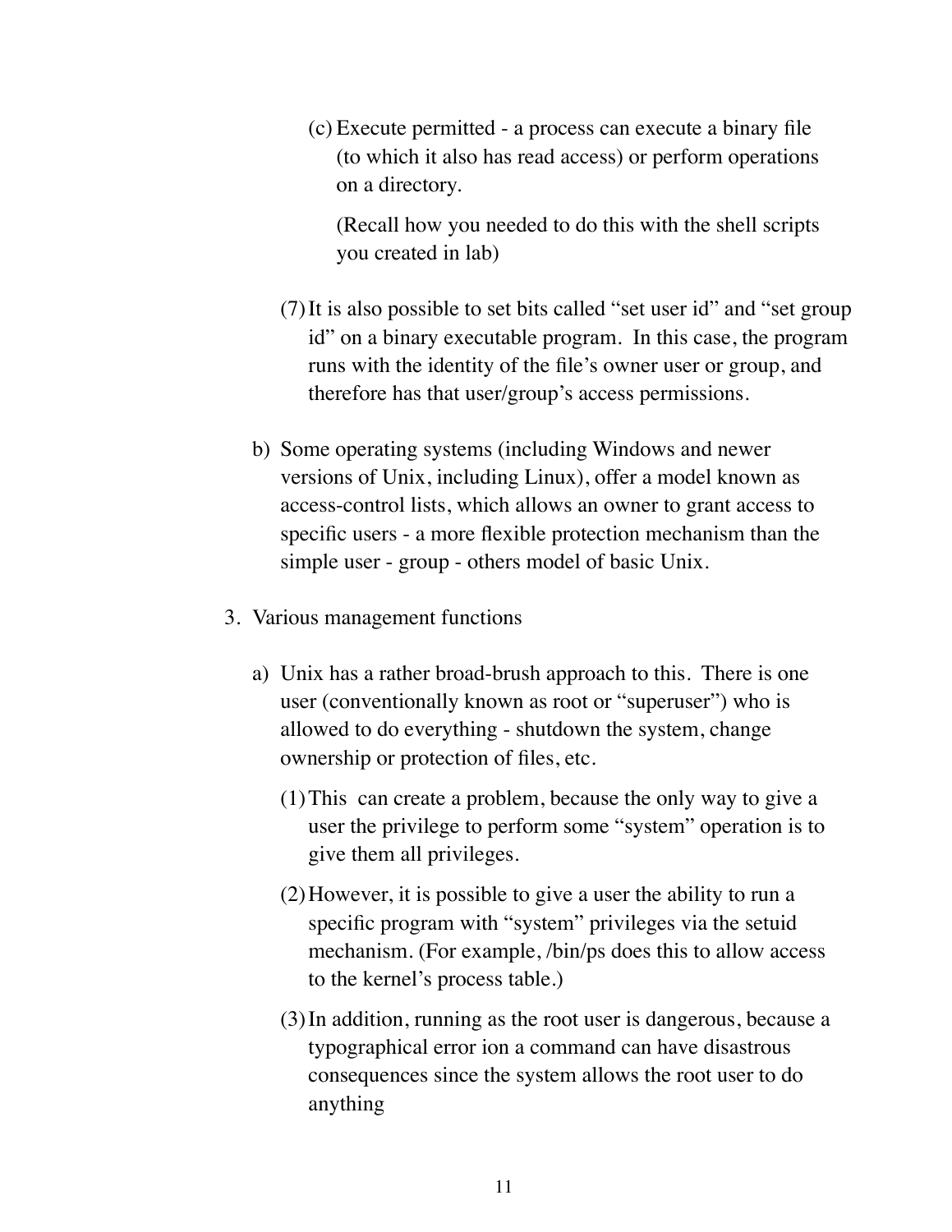(c) Execute permitted - a process can execute a binary file (to which it also has read access) or perform operations on a directory.

(Recall how you needed to do this with the shell scripts you created in lab)

- (7)It is also possible to set bits called "set user id" and "set group id" on a binary executable program. In this case, the program runs with the identity of the file's owner user or group, and therefore has that user/group's access permissions.
- b) Some operating systems (including Windows and newer versions of Unix, including Linux), offer a model known as access-control lists, which allows an owner to grant access to specific users - a more flexible protection mechanism than the simple user - group - others model of basic Unix.
- 3. Various management functions
	- a) Unix has a rather broad-brush approach to this. There is one user (conventionally known as root or "superuser") who is allowed to do everything - shutdown the system, change ownership or protection of files, etc.
		- (1)This can create a problem, because the only way to give a user the privilege to perform some "system" operation is to give them all privileges.
		- (2)However, it is possible to give a user the ability to run a specific program with "system" privileges via the setuid mechanism. (For example, /bin/ps does this to allow access to the kernel's process table.)
		- (3)In addition, running as the root user is dangerous, because a typographical error ion a command can have disastrous consequences since the system allows the root user to do anything